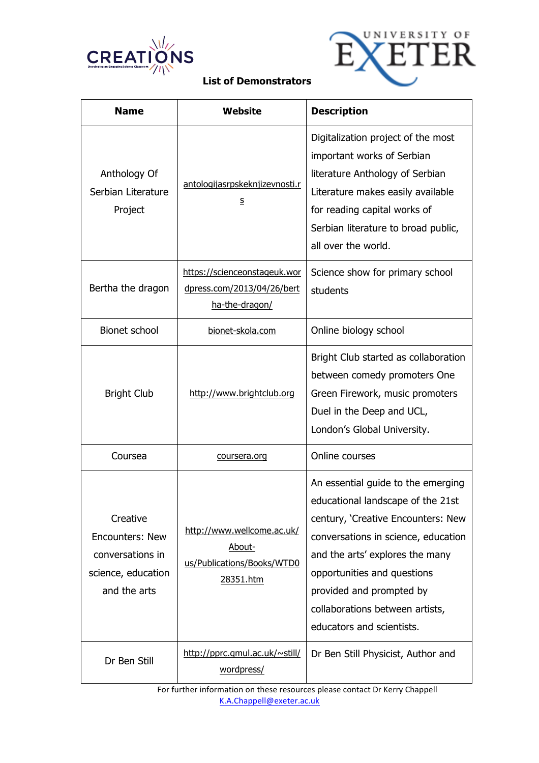



| <b>Name</b>                                                                                  | Website                                                                         | <b>Description</b>                                                                                                                                                                                                                                                                                                 |
|----------------------------------------------------------------------------------------------|---------------------------------------------------------------------------------|--------------------------------------------------------------------------------------------------------------------------------------------------------------------------------------------------------------------------------------------------------------------------------------------------------------------|
| Anthology Of<br>Serbian Literature<br>Project                                                | antologijasrpskeknjizevnosti.r<br>$\mathsf{s}$                                  | Digitalization project of the most<br>important works of Serbian<br>literature Anthology of Serbian<br>Literature makes easily available<br>for reading capital works of<br>Serbian literature to broad public,<br>all over the world.                                                                             |
| Bertha the dragon                                                                            | https://scienceonstageuk.wor<br>dpress.com/2013/04/26/bert<br>ha-the-dragon/    | Science show for primary school<br>students                                                                                                                                                                                                                                                                        |
| <b>Bionet school</b>                                                                         | bionet-skola.com                                                                | Online biology school                                                                                                                                                                                                                                                                                              |
| <b>Bright Club</b>                                                                           | http://www.brightclub.org                                                       | Bright Club started as collaboration<br>between comedy promoters One<br>Green Firework, music promoters<br>Duel in the Deep and UCL,<br>London's Global University.                                                                                                                                                |
| Coursea                                                                                      | coursera.org                                                                    | Online courses                                                                                                                                                                                                                                                                                                     |
| Creative<br><b>Encounters: New</b><br>conversations in<br>science, education<br>and the arts | http://www.wellcome.ac.uk/<br>About-<br>us/Publications/Books/WTD0<br>28351.htm | An essential guide to the emerging<br>educational landscape of the 21st<br>century, 'Creative Encounters: New<br>conversations in science, education<br>and the arts' explores the many<br>opportunities and questions<br>provided and prompted by<br>collaborations between artists,<br>educators and scientists. |
| Dr Ben Still                                                                                 | http://pprc.qmul.ac.uk/~still/<br>wordpress/                                    | Dr Ben Still Physicist, Author and                                                                                                                                                                                                                                                                                 |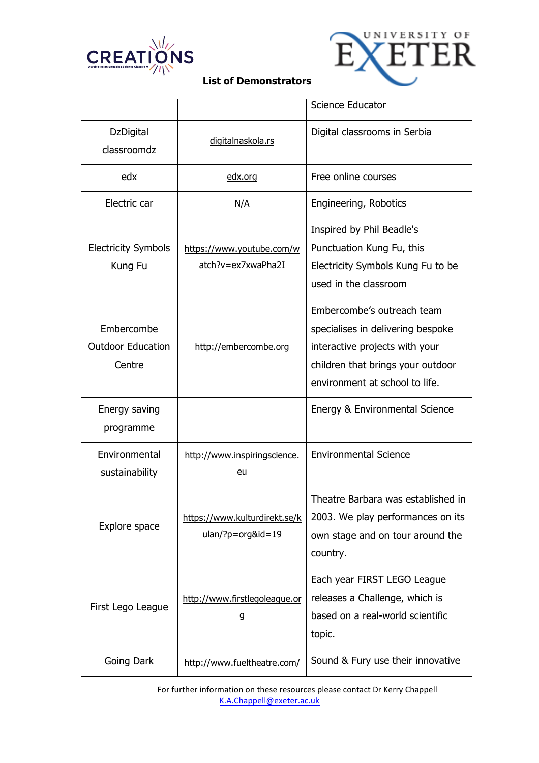



|                                                  |                                                      | Science Educator                                                                                                                                                         |
|--------------------------------------------------|------------------------------------------------------|--------------------------------------------------------------------------------------------------------------------------------------------------------------------------|
| <b>DzDigital</b><br>classroomdz                  | digitalnaskola.rs                                    | Digital classrooms in Serbia                                                                                                                                             |
| edx                                              | edx.org                                              | Free online courses                                                                                                                                                      |
| Electric car                                     | N/A                                                  | Engineering, Robotics                                                                                                                                                    |
| <b>Electricity Symbols</b><br>Kung Fu            | https://www.youtube.com/w<br>atch?v=ex7xwaPha2I      | Inspired by Phil Beadle's<br>Punctuation Kung Fu, this<br>Electricity Symbols Kung Fu to be<br>used in the classroom                                                     |
| Embercombe<br><b>Outdoor Education</b><br>Centre | http://embercombe.org                                | Embercombe's outreach team<br>specialises in delivering bespoke<br>interactive projects with your<br>children that brings your outdoor<br>environment at school to life. |
| Energy saving<br>programme                       |                                                      | Energy & Environmental Science                                                                                                                                           |
| Environmental<br>sustainability                  | http://www.inspiringscience.<br>eu                   | <b>Environmental Science</b>                                                                                                                                             |
| Explore space                                    | https://www.kulturdirekt.se/k<br>$ulan$ ?p=org&id=19 | Theatre Barbara was established in<br>2003. We play performances on its<br>own stage and on tour around the<br>country.                                                  |
| First Lego League                                | http://www.firstlegoleague.or<br>g                   | Each year FIRST LEGO League<br>releases a Challenge, which is<br>based on a real-world scientific<br>topic.                                                              |
| Going Dark                                       | http://www.fueltheatre.com/                          | Sound & Fury use their innovative                                                                                                                                        |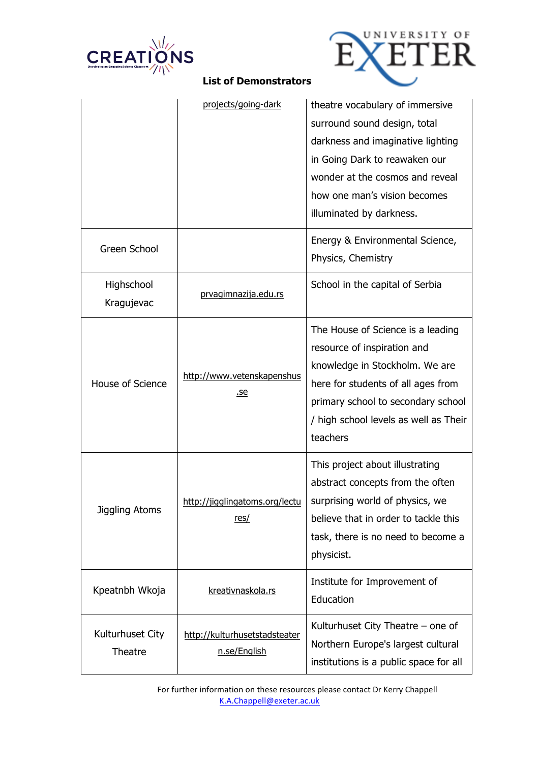



|                             | projects/going-dark                           | theatre vocabulary of immersive<br>surround sound design, total<br>darkness and imaginative lighting<br>in Going Dark to reawaken our<br>wonder at the cosmos and reveal<br>how one man's vision becomes<br>illuminated by darkness. |
|-----------------------------|-----------------------------------------------|--------------------------------------------------------------------------------------------------------------------------------------------------------------------------------------------------------------------------------------|
| Green School                |                                               | Energy & Environmental Science,<br>Physics, Chemistry                                                                                                                                                                                |
| Highschool<br>Kragujevac    | prvagimnazija.edu.rs                          | School in the capital of Serbia                                                                                                                                                                                                      |
| House of Science            | http://www.vetenskapenshus<br>.se             | The House of Science is a leading<br>resource of inspiration and<br>knowledge in Stockholm. We are<br>here for students of all ages from<br>primary school to secondary school<br>/ high school levels as well as Their<br>teachers  |
| Jiggling Atoms              | http://jigglingatoms.org/lectu  <br>res/      | This project about illustrating<br>abstract concepts from the often<br>surprising world of physics, we<br>believe that in order to tackle this<br>task, there is no need to become a<br>physicist.                                   |
| Kpeatnbh Wkoja              | kreativnaskola.rs                             | Institute for Improvement of<br>Education                                                                                                                                                                                            |
| Kulturhuset City<br>Theatre | http://kulturhusetstadsteater<br>n.se/English | Kulturhuset City Theatre – one of<br>Northern Europe's largest cultural<br>institutions is a public space for all                                                                                                                    |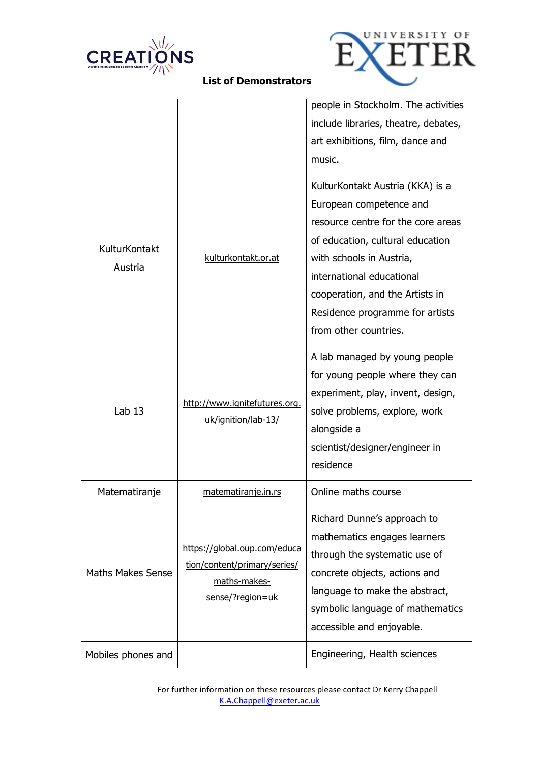



|  |  | <b>List of Demonstrators</b> |
|--|--|------------------------------|
|--|--|------------------------------|

|                          |                                                                                                  | people in Stockholm. The activities<br>include libraries, theatre, debates,<br>art exhibitions, film, dance and<br>music.                                                                                                                                                                     |
|--------------------------|--------------------------------------------------------------------------------------------------|-----------------------------------------------------------------------------------------------------------------------------------------------------------------------------------------------------------------------------------------------------------------------------------------------|
| KulturKontakt<br>Austria | kulturkontakt.or.at                                                                              | KulturKontakt Austria (KKA) is a<br>European competence and<br>resource centre for the core areas<br>of education, cultural education<br>with schools in Austria,<br>international educational<br>cooperation, and the Artists in<br>Residence programme for artists<br>from other countries. |
| Lab $13$                 | http://www.ignitefutures.org.<br>uk/ignition/lab-13/                                             | A lab managed by young people<br>for young people where they can<br>experiment, play, invent, design,<br>solve problems, explore, work<br>alongside a<br>scientist/designer/engineer in<br>residence                                                                                          |
| Matematiranje            | matematiranje.in.rs                                                                              | Online maths course                                                                                                                                                                                                                                                                           |
| <b>Maths Makes Sense</b> | https://global.oup.com/educa<br>tion/content/primary/series/<br>maths-makes-<br>sense/?region=uk | Richard Dunne's approach to<br>mathematics engages learners<br>through the systematic use of<br>concrete objects, actions and<br>language to make the abstract,<br>symbolic language of mathematics<br>accessible and enjoyable.                                                              |
| Mobiles phones and       |                                                                                                  | Engineering, Health sciences                                                                                                                                                                                                                                                                  |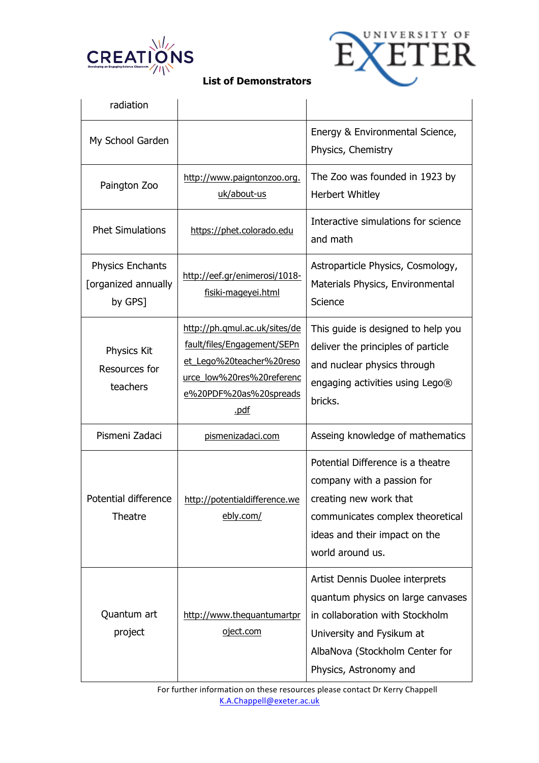



| radiation                                                 |                                                                                                                                                         |                                                                                                                                                                                                  |
|-----------------------------------------------------------|---------------------------------------------------------------------------------------------------------------------------------------------------------|--------------------------------------------------------------------------------------------------------------------------------------------------------------------------------------------------|
| My School Garden                                          |                                                                                                                                                         | Energy & Environmental Science,<br>Physics, Chemistry                                                                                                                                            |
| Paington Zoo                                              | http://www.paigntonzoo.org.<br>uk/about-us                                                                                                              | The Zoo was founded in 1923 by<br>Herbert Whitley                                                                                                                                                |
| <b>Phet Simulations</b>                                   | https://phet.colorado.edu                                                                                                                               | Interactive simulations for science<br>and math                                                                                                                                                  |
| <b>Physics Enchants</b><br>[organized annually<br>by GPS] | http://eef.gr/enimerosi/1018-<br>fisiki-mageyei.html                                                                                                    | Astroparticle Physics, Cosmology,<br>Materials Physics, Environmental<br>Science                                                                                                                 |
| Physics Kit<br>Resources for<br>teachers                  | http://ph.qmul.ac.uk/sites/de<br>fault/files/Engagement/SEPn<br>et_Lego%20teacher%20reso<br>urce_low%20res%20referenc<br>e%20PDF%20as%20spreads<br>.pdf | This guide is designed to help you<br>deliver the principles of particle<br>and nuclear physics through<br>engaging activities using Lego®<br>bricks.                                            |
| Pismeni Zadaci                                            | pismenizadaci.com                                                                                                                                       | Asseing knowledge of mathematics                                                                                                                                                                 |
| Potential difference<br>Theatre                           | http://potentialdifference.we<br>ebly.com/                                                                                                              | Potential Difference is a theatre<br>company with a passion for<br>creating new work that<br>communicates complex theoretical<br>ideas and their impact on the<br>world around us.               |
| Quantum art<br>project                                    | http://www.thequantumartpr<br>oject.com                                                                                                                 | Artist Dennis Duolee interprets<br>quantum physics on large canvases<br>in collaboration with Stockholm<br>University and Fysikum at<br>AlbaNova (Stockholm Center for<br>Physics, Astronomy and |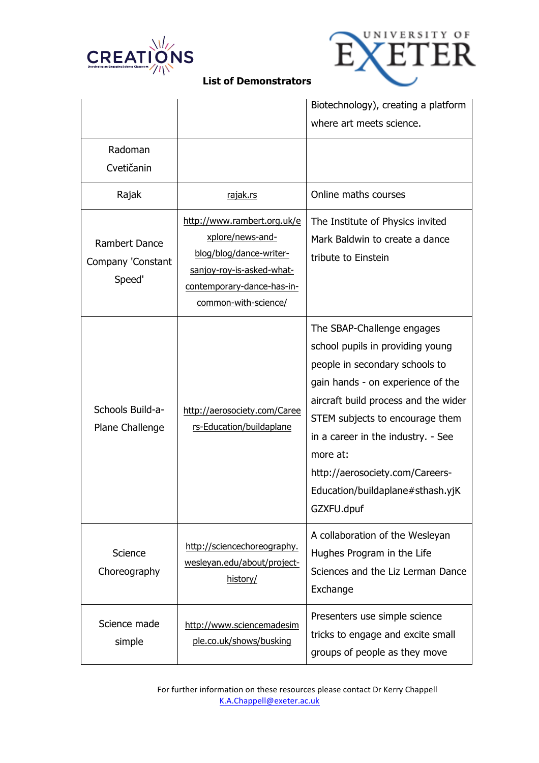



|                                                     |                                                                                                                                                               | Biotechnology), creating a platform<br>where art meets science.                                                                                                                                                                                                                                                                                         |
|-----------------------------------------------------|---------------------------------------------------------------------------------------------------------------------------------------------------------------|---------------------------------------------------------------------------------------------------------------------------------------------------------------------------------------------------------------------------------------------------------------------------------------------------------------------------------------------------------|
| Radoman<br>Cvetičanin                               |                                                                                                                                                               |                                                                                                                                                                                                                                                                                                                                                         |
| Rajak                                               | rajak.rs                                                                                                                                                      | Online maths courses                                                                                                                                                                                                                                                                                                                                    |
| <b>Rambert Dance</b><br>Company 'Constant<br>Speed' | http://www.rambert.org.uk/e<br>xplore/news-and-<br>blog/blog/dance-writer-<br>sanjoy-roy-is-asked-what-<br>contemporary-dance-has-in-<br>common-with-science/ | The Institute of Physics invited<br>Mark Baldwin to create a dance<br>tribute to Einstein                                                                                                                                                                                                                                                               |
| Schools Build-a-<br>Plane Challenge                 | http://aerosociety.com/Caree<br>rs-Education/buildaplane                                                                                                      | The SBAP-Challenge engages<br>school pupils in providing young<br>people in secondary schools to<br>gain hands - on experience of the<br>aircraft build process and the wider<br>STEM subjects to encourage them<br>in a career in the industry. - See<br>more at:<br>http://aerosociety.com/Careers-<br>Education/buildaplane#sthash.yjK<br>GZXFU.dpuf |
| Science<br>Choreography                             | http://sciencechoreography.<br>wesleyan.edu/about/project-<br>history/                                                                                        | A collaboration of the Wesleyan<br>Hughes Program in the Life<br>Sciences and the Liz Lerman Dance<br>Exchange                                                                                                                                                                                                                                          |
| Science made<br>simple                              | http://www.sciencemadesim<br>ple.co.uk/shows/busking                                                                                                          | Presenters use simple science<br>tricks to engage and excite small<br>groups of people as they move                                                                                                                                                                                                                                                     |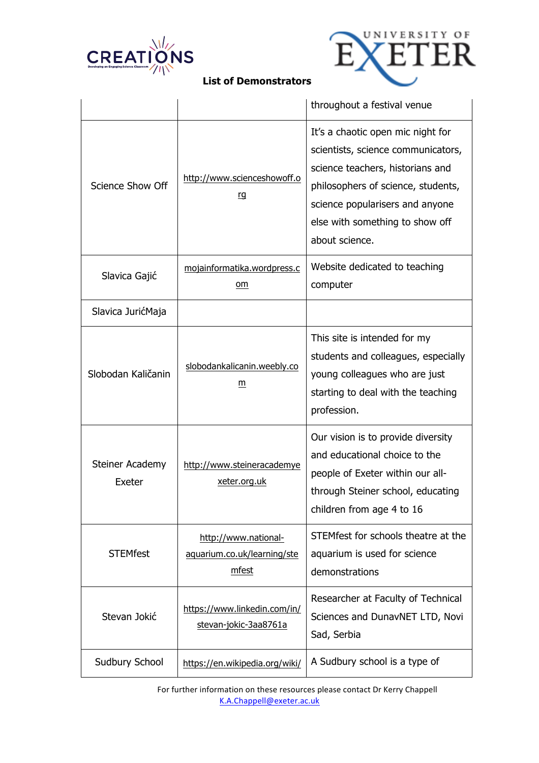



|                           |                                                              | throughout a festival venue                                                                                                                                                                                                               |
|---------------------------|--------------------------------------------------------------|-------------------------------------------------------------------------------------------------------------------------------------------------------------------------------------------------------------------------------------------|
| <b>Science Show Off</b>   | http://www.scienceshowoff.o<br><u>rg</u>                     | It's a chaotic open mic night for<br>scientists, science communicators,<br>science teachers, historians and<br>philosophers of science, students,<br>science popularisers and anyone<br>else with something to show off<br>about science. |
| Slavica Gajić             | mojainformatika.wordpress.c<br>om                            | Website dedicated to teaching<br>computer                                                                                                                                                                                                 |
| Slavica JurićMaja         |                                                              |                                                                                                                                                                                                                                           |
| Slobodan Kaličanin        | slobodankalicanin.weebly.co<br>m                             | This site is intended for my<br>students and colleagues, especially<br>young colleagues who are just<br>starting to deal with the teaching<br>profession.                                                                                 |
| Steiner Academy<br>Exeter | http://www.steineracademye<br>xeter.org.uk                   | Our vision is to provide diversity<br>and educational choice to the<br>people of Exeter within our all-<br>through Steiner school, educating<br>children from age 4 to 16                                                                 |
| <b>STEMfest</b>           | http://www.national-<br>aquarium.co.uk/learning/ste<br>mfest | STEMfest for schools theatre at the<br>aquarium is used for science<br>demonstrations                                                                                                                                                     |
| Stevan Jokić              | https://www.linkedin.com/in/<br>stevan-jokic-3aa8761a        | Researcher at Faculty of Technical<br>Sciences and DunavNET LTD, Novi<br>Sad, Serbia                                                                                                                                                      |
| Sudbury School            | https://en.wikipedia.org/wiki/                               | A Sudbury school is a type of                                                                                                                                                                                                             |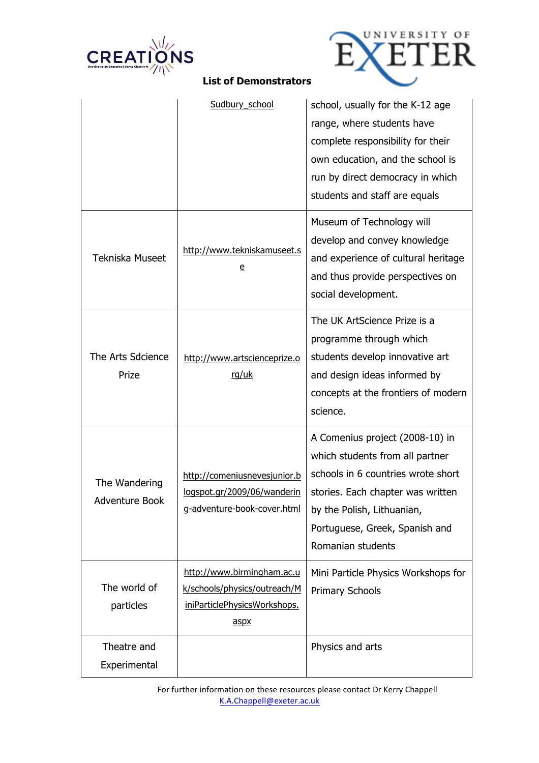



|                                 | Sudbury_school                                                                                     | school, usually for the K-12 age<br>range, where students have<br>complete responsibility for their<br>own education, and the school is<br>run by direct democracy in which<br>students and staff are equals                       |
|---------------------------------|----------------------------------------------------------------------------------------------------|------------------------------------------------------------------------------------------------------------------------------------------------------------------------------------------------------------------------------------|
| Tekniska Museet                 | http://www.tekniskamuseet.s<br>$\overline{\mathsf{e}}$                                             | Museum of Technology will<br>develop and convey knowledge<br>and experience of cultural heritage<br>and thus provide perspectives on<br>social development.                                                                        |
| The Arts Sdcience<br>Prize      | http://www.artscienceprize.o<br>rg/uk                                                              | The UK ArtScience Prize is a<br>programme through which<br>students develop innovative art<br>and design ideas informed by<br>concepts at the frontiers of modern<br>science.                                                      |
| The Wandering<br>Adventure Book | http://comeniusnevesjunior.b<br>logspot.gr/2009/06/wanderin<br>g-adventure-book-cover.html         | A Comenius project (2008-10) in<br>which students from all partner<br>schools in 6 countries wrote short<br>stories. Each chapter was written<br>by the Polish, Lithuanian,<br>Portuguese, Greek, Spanish and<br>Romanian students |
| The world of<br>particles       | http://www.birmingham.ac.u<br>k/schools/physics/outreach/M<br>iniParticlePhysicsWorkshops.<br>aspx | Mini Particle Physics Workshops for<br><b>Primary Schools</b>                                                                                                                                                                      |
| Theatre and<br>Experimental     |                                                                                                    | Physics and arts                                                                                                                                                                                                                   |